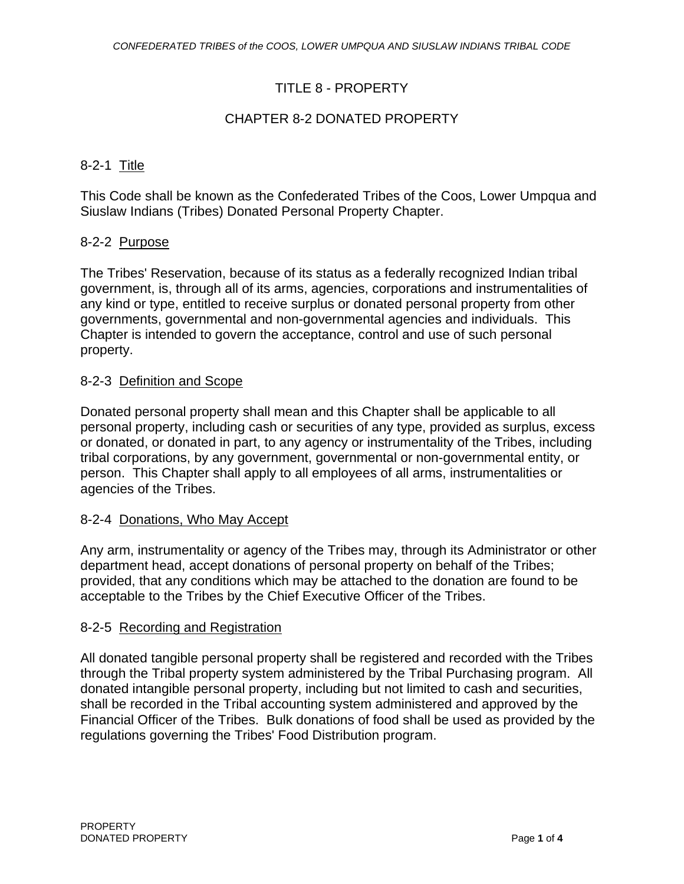## TITLE 8 - PROPERTY

## CHAPTER 8-2 DONATED PROPERTY

#### 8-2-1 Title

This Code shall be known as the Confederated Tribes of the Coos, Lower Umpqua and Siuslaw Indians (Tribes) Donated Personal Property Chapter.

#### 8-2-2 Purpose

The Tribes' Reservation, because of its status as a federally recognized Indian tribal government, is, through all of its arms, agencies, corporations and instrumentalities of any kind or type, entitled to receive surplus or donated personal property from other governments, governmental and non-governmental agencies and individuals. This Chapter is intended to govern the acceptance, control and use of such personal property.

#### 8-2-3 Definition and Scope

Donated personal property shall mean and this Chapter shall be applicable to all personal property, including cash or securities of any type, provided as surplus, excess or donated, or donated in part, to any agency or instrumentality of the Tribes, including tribal corporations, by any government, governmental or non-governmental entity, or person. This Chapter shall apply to all employees of all arms, instrumentalities or agencies of the Tribes.

#### 8-2-4 Donations, Who May Accept

Any arm, instrumentality or agency of the Tribes may, through its Administrator or other department head, accept donations of personal property on behalf of the Tribes; provided, that any conditions which may be attached to the donation are found to be acceptable to the Tribes by the Chief Executive Officer of the Tribes.

#### 8-2-5 Recording and Registration

All donated tangible personal property shall be registered and recorded with the Tribes through the Tribal property system administered by the Tribal Purchasing program. All donated intangible personal property, including but not limited to cash and securities, shall be recorded in the Tribal accounting system administered and approved by the Financial Officer of the Tribes. Bulk donations of food shall be used as provided by the regulations governing the Tribes' Food Distribution program.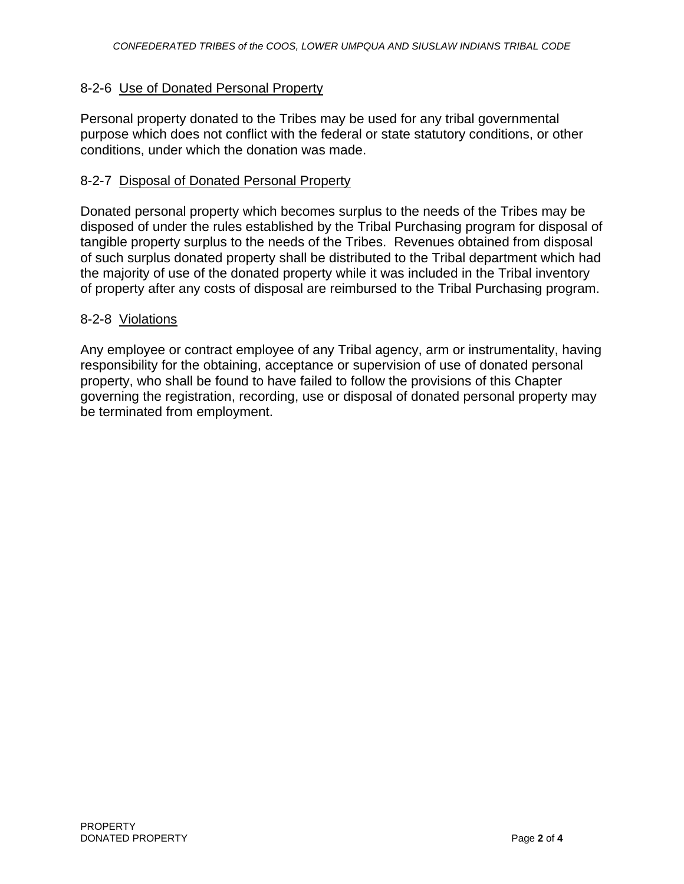## 8-2-6 Use of Donated Personal Property

Personal property donated to the Tribes may be used for any tribal governmental purpose which does not conflict with the federal or state statutory conditions, or other conditions, under which the donation was made.

#### 8-2-7 Disposal of Donated Personal Property

Donated personal property which becomes surplus to the needs of the Tribes may be disposed of under the rules established by the Tribal Purchasing program for disposal of tangible property surplus to the needs of the Tribes. Revenues obtained from disposal of such surplus donated property shall be distributed to the Tribal department which had the majority of use of the donated property while it was included in the Tribal inventory of property after any costs of disposal are reimbursed to the Tribal Purchasing program.

#### 8-2-8 Violations

Any employee or contract employee of any Tribal agency, arm or instrumentality, having responsibility for the obtaining, acceptance or supervision of use of donated personal property, who shall be found to have failed to follow the provisions of this Chapter governing the registration, recording, use or disposal of donated personal property may be terminated from employment.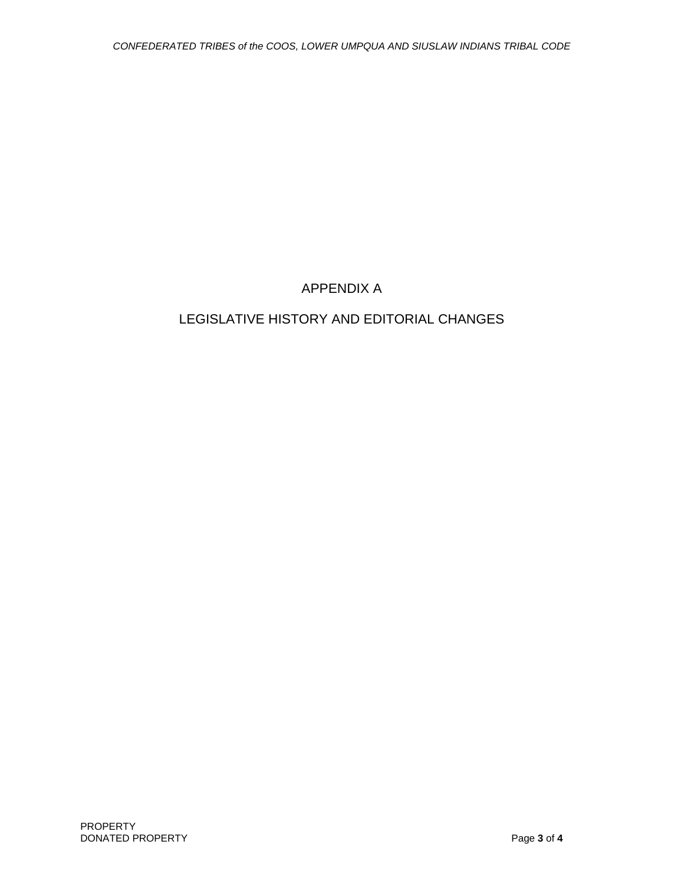# APPENDIX A

# LEGISLATIVE HISTORY AND EDITORIAL CHANGES